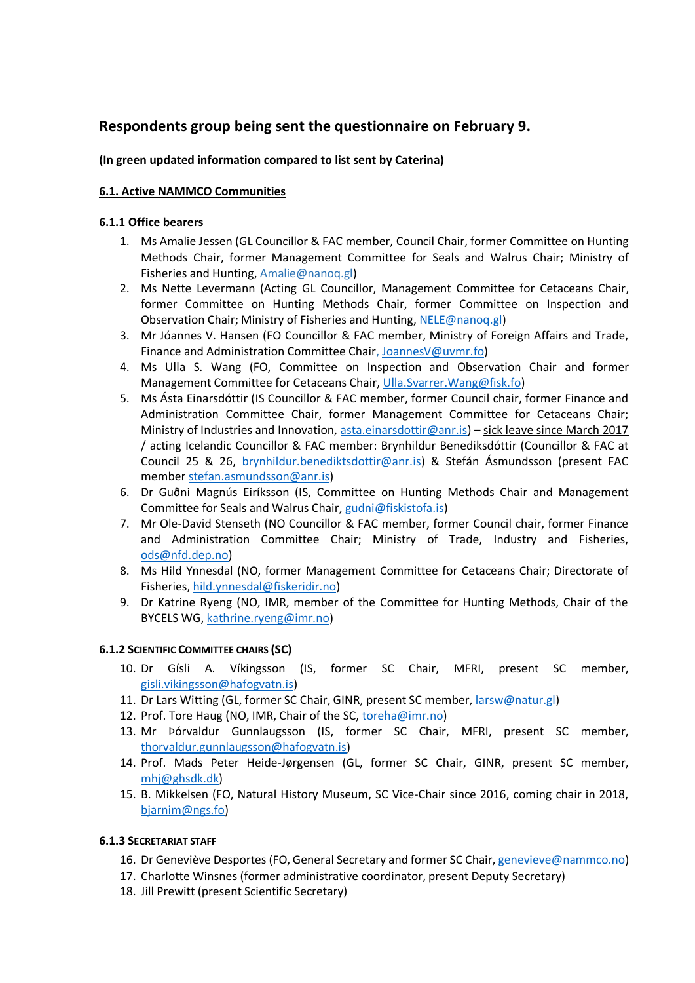# **Respondents group being sent the questionnaire on February 9.**

# **(In green updated information compared to list sent by Caterina)**

# **6.1. Active NAMMCO Communities**

### **6.1.1 Office bearers**

- 1. Ms Amalie Jessen (GL Councillor & FAC member, Council Chair, former Committee on Hunting Methods Chair, former Management Committee for Seals and Walrus Chair; Ministry of Fisheries and Hunting[, Amalie@nanoq.gl\)](mailto:Amalie@nanoq.gl)
- 2. Ms Nette Levermann (Acting GL Councillor, Management Committee for Cetaceans Chair, former Committee on Hunting Methods Chair, former Committee on Inspection and Observation Chair; Ministry of Fisheries and Hunting[, NELE@nanoq.gl\)](mailto:NELE@nanoq.gl)
- 3. Mr Jóannes V. Hansen (FO Councillor & FAC member, Ministry of Foreign Affairs and Trade, Finance and Administration Committee Chair[, JoannesV@uvmr.fo\)](mailto:JoannesV@uvmr.fo)
- 4. Ms Ulla S. Wang (FO, Committee on Inspection and Observation Chair and former Management Committee for Cetaceans Chair, [Ulla.Svarrer.Wang@fisk.fo\)](mailto:Ulla.Svarrer.Wang@fisk.fo)
- 5. Ms Ásta Einarsdóttir (IS Councillor & FAC member, former Council chair, former Finance and Administration Committee Chair, former Management Committee for Cetaceans Chair; Ministry of Industries and Innovation, [asta.einarsdottir@anr.is\)](mailto:asta.einarsdottir@anr.is) – sick leave since March 2017 / acting Icelandic Councillor & FAC member: Brynhildur Benediksdóttir (Councillor & FAC at Council 25 & 26, [brynhildur.benediktsdottir@anr.is\)](mailto:brynhildur.benediktsdottir@anr.is) & Stefán Ásmundsson (present FAC membe[r stefan.asmundsson@anr.is\)](mailto:stefan.asmundsson@anr.is)
- 6. Dr Guðni Magnús Eiríksson (IS, Committee on Hunting Methods Chair and Management Committee for Seals and Walrus Chair[, gudni@fiskistofa.is\)](mailto:gudni@fiskistofa.is)
- 7. Mr Ole-David Stenseth (NO Councillor & FAC member, former Council chair, former Finance and Administration Committee Chair; Ministry of Trade, Industry and Fisheries, [ods@nfd.dep.no\)](mailto:ods@nfd.dep.no)
- 8. Ms Hild Ynnesdal (NO, former Management Committee for Cetaceans Chair; Directorate of Fisheries[, hild.ynnesdal@fiskeridir.no\)](mailto:hild.ynnesdal@fiskeridir.no)
- 9. Dr Katrine Ryeng (NO, IMR, member of the Committee for Hunting Methods, Chair of the BYCELS WG, [kathrine.ryeng@imr.no\)](mailto:kathrine.ryeng@imr.no)

#### **6.1.2 SCIENTIFIC COMMITTEE CHAIRS (SC)**

- 10. Dr Gísli A. Víkingsson (IS, former SC Chair, MFRI, present SC member, [gisli.vikingsson@hafogvatn.is\)](mailto:gisli.vikingsson@hafogvatn.is)
- 11. Dr Lars Witting (GL, former SC Chair, GINR, present SC member, [larsw@natur.gl\)](mailto:larsw@natur.gl)
- 12. Prof. Tore Haug (NO, IMR, Chair of the SC, [toreha@imr.no\)](mailto:toreha@imr.no)
- 13. Mr Ϸórvaldur Gunnlaugsson (IS, former SC Chair, MFRI, present SC member, [thorvaldur.gunnlaugsson@hafogvatn.is\)](mailto:thorvaldur.gunnlaugsson@hafogvatn.is)
- 14. Prof. Mads Peter Heide-Jørgensen (GL, former SC Chair, GINR, present SC member, [mhj@ghsdk.dk\)](mailto:mhj@ghsdk.dk)
- 15. B. Mikkelsen (FO, Natural History Museum, SC Vice-Chair since 2016, coming chair in 2018, [bjarnim@ngs.fo\)](mailto:bjarnim@ngs.fo)

#### **6.1.3 SECRETARIAT STAFF**

- 16. Dr Geneviève Desportes (FO, General Secretary and former SC Chair[, genevieve@nammco.no\)](mailto:genevieve@nammco.no)
- 17. Charlotte Winsnes (former administrative coordinator, present Deputy Secretary)
- 18. Jill Prewitt (present Scientific Secretary)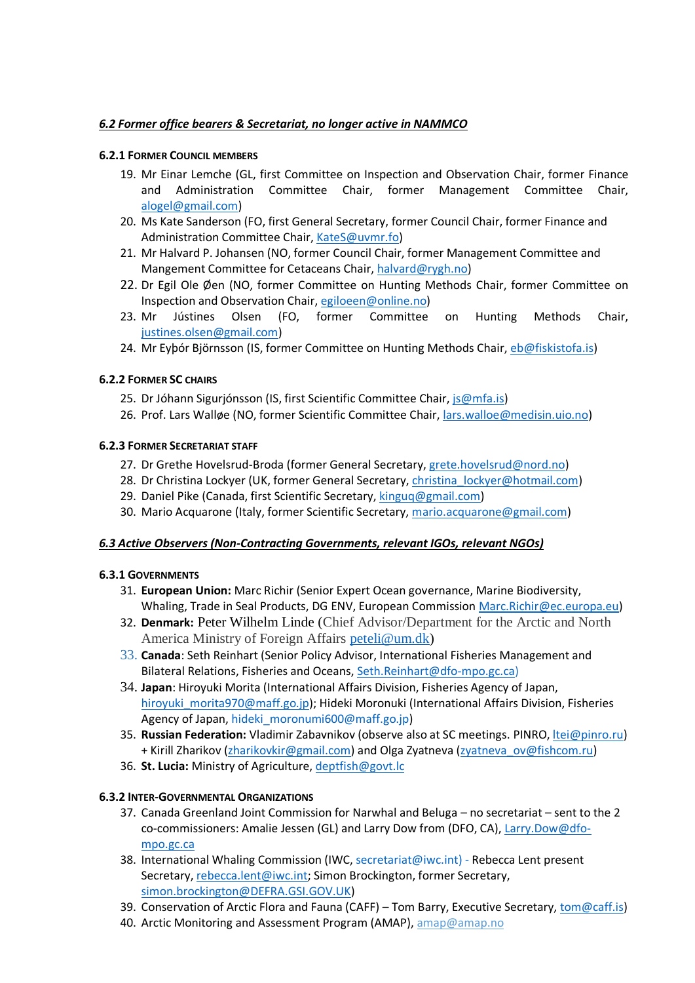# *6.2 Former office bearers & Secretariat, no longer active in NAMMCO*

### **6.2.1 FORMER COUNCIL MEMBERS**

- 19. Mr Einar Lemche (GL, first Committee on Inspection and Observation Chair, former Finance and Administration Committee Chair, former Management Committee Chair, [alogel@gmail.com\)](mailto:alogel@gmail.com)
- 20. Ms Kate Sanderson (FO, first General Secretary, former Council Chair, former Finance and Administration Committee Chair, [KateS@uvmr.fo\)](mailto:KateS@uvmr.fo)
- 21. Mr Halvard P. Johansen (NO, former Council Chair, former Management Committee and Mangement Committee for Cetaceans Chair, [halvard@rygh.no\)](mailto:halvard@rygh.no)
- 22. Dr Egil Ole Øen (NO, former Committee on Hunting Methods Chair, former Committee on Inspection and Observation Chair, [egiloeen@online.no\)](mailto:egiloeen@online.no)
- 23. Mr Jústines Olsen (FO, former Committee on Hunting Methods Chair, [justines.olsen@gmail.com\)](mailto:justines.olsen@gmail.com)
- 24. Mr Eyþór Björnsson (IS, former Committee on Hunting Methods Chair, [eb@fiskistofa.is\)](mailto:eb@fiskistofa.is)

# **6.2.2 FORMER SC CHAIRS**

- 25. Dr Jóhann Sigurjónsson (IS, first Scientific Committee Chair, [js@mfa.is\)](mailto:js@mfa.is)
- 26. Prof. Lars Walløe (NO, former Scientific Committee Chair[, lars.walloe@medisin.uio.no\)](mailto:lars.walloe@medisin.uio.no)

# **6.2.3 FORMER SECRETARIAT STAFF**

- 27. Dr Grethe Hovelsrud-Broda (former General Secretary, [grete.hovelsrud@nord.no\)](mailto:grete.hovelsrud@nord.no)
- 28. Dr Christina Lockyer (UK, former General Secretary, christina lockyer@hotmail.com)
- 29. Daniel Pike (Canada, first Scientific Secretary, [kinguq@gmail.com\)](mailto:kinguq@gmail.com)
- 30. Mario Acquarone (Italy, former Scientific Secretary, [mario.acquarone@gmail.com\)](mailto:mario.acquarone@gmail.com)

# *6.3 Active Observers (Non-Contracting Governments, relevant IGOs, relevant NGOs)*

# **6.3.1 GOVERNMENTS**

- 31. **European Union:** Marc Richir (Senior Expert Ocean governance, Marine Biodiversity, Whaling, Trade in Seal Products, DG ENV, European Commission [Marc.Richir@ec.europa.eu\)](mailto:Marc.Richir@ec.europa.eu)
- 32. **Denmark:** Peter Wilhelm Linde (Chief Advisor/Department for the Arctic and North America Ministry of Foreign Affairs [peteli@um.dk\)](mailto:peteli@um.dk)
- 33. **Canada**: Seth Reinhart (Senior Policy Advisor, International Fisheries Management and Bilateral Relations, Fisheries and Oceans, [Seth.Reinhart@dfo-mpo.gc.ca\)](mailto:Seth.Reinhart@dfo-mpo.gc.ca)
- 34. **Japan**: Hiroyuki Morita (International Affairs Division, Fisheries Agency of Japan, hiroyuki morita970@maff.go.jp); Hideki Moronuki (International Affairs Division, Fisheries Agency of Japan, hideki moronumi600@maff.go.jp)
- 35. **Russian Federation:** Vladimir Zabavnikov (observe also at SC meetings. PINRO, [ltei@pinro.ru\)](mailto:ltei@pinro.ru) + Kirill Zharikov [\(zharikovkir@gmail.com\)](mailto:zharikovkir@gmail.com) and Olga Zyatneva [\(zyatneva\\_ov@fishcom.ru\)](mailto:zyatneva_ov@fishcom.ru)
- 36. **St. Lucia:** Ministry of Agriculture, [deptfish@govt.lc](mailto:deptfish@govt.lc)

# **6.3.2 INTER-GOVERNMENTAL ORGANIZATIONS**

- 37. Canada Greenland Joint Commission for Narwhal and Beluga no secretariat sent to the 2 co-commissioners: Amalie Jessen (GL) and Larry Dow from (DFO, CA), [Larry.Dow@dfo](mailto:Larry.Dow@dfo-mpo.gc.ca)[mpo.gc.ca](mailto:Larry.Dow@dfo-mpo.gc.ca)
- 38. International Whaling Commission (IWC, [secretariat@iwc.int\)](mailto:secretariat@iwc.int) Rebecca Lent present Secretary, [rebecca.lent@iwc.int;](mailto:rebecca.lent@iwc.int) Simon Brockington, former Secretary, [simon.brockington@DEFRA.GSI.GOV.UK\)](mailto:simon.brockington@DEFRA.GSI.GOV.UK)
- 39. Conservation of Arctic Flora and Fauna (CAFF) Tom Barry, Executive Secretary, [tom@caff.is\)](mailto:tom@caff.is)
- 40. Arctic Monitoring and Assessment Program (AMAP), [amap@amap.no](mailto:amap@amap.no)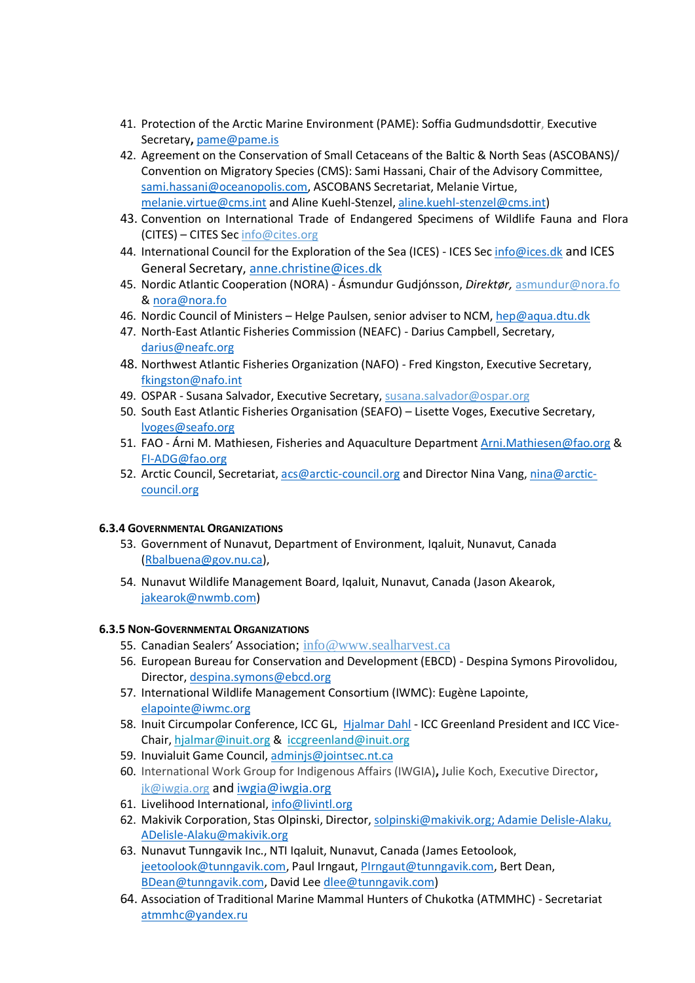- 41. Protection of the Arctic Marine Environment (PAME): Soffia Gudmundsdottir, Executive Secretary**,** [pame@pame.is](mailto:pame@pame.is)
- 42. Agreement on the Conservation of Small Cetaceans of the Baltic & North Seas (ASCOBANS)/ Convention on Migratory Species (CMS): Sami Hassani, Chair of the Advisory Committee, [sami.hassani@oceanopolis.com,](mailto:sami.hassani@oceanopolis.com) ASCOBANS Secretariat, Melanie Virtue, [melanie.virtue@cms.int](mailto:melanie.virtue@cms.int) and Aline Kuehl-Stenzel[, aline.kuehl-stenzel@cms.int\)](mailto:aline.kuehl-stenzel@cms.int)
- 43. Convention on International Trade of Endangered Specimens of Wildlife Fauna and Flora (CITES) – CITES Sec [info@cites.org](mailto:info@cites.org)
- 44. International Council for the Exploration of the Sea (ICES) ICES Sec [info@ices.dk](mailto:info@ices.dk) and ICES General Secretary, [anne.christine@ices.dk](mailto:anne.christine@ices.dk)
- 45. Nordic Atlantic Cooperation (NORA) Ásmundur Gudjónsson, *Direktør,* [asmundur@nora.fo](mailto:asmundur@nora.fo) & [nora@nora.fo](mailto:nora@nora.fo)
- 46. Nordic Council of Ministers Helge Paulsen, senior adviser to NCM, [hep@aqua.dtu.dk](mailto:hep@aqua.dtu.dk)
- 47. North-East Atlantic Fisheries Commission (NEAFC) Darius Campbell, Secretary, [darius@neafc.org](mailto:darius@neafc.org)
- 48. Northwest Atlantic Fisheries Organization (NAFO) Fred Kingston, Executive Secretary, [fkingston@nafo.int](mailto:fkingston@nafo.int)
- 49. OSPAR Susana Salvador, Executive Secretary, [susana.salvador@ospar.org](mailto:susana.salvador@ospar.org)
- 50. South East Atlantic Fisheries Organisation (SEAFO) Lisette Voges, Executive Secretary, [lvoges@seafo.org](mailto:lvoges@seafo.org)
- 51. FAO Árni M. Mathiesen, Fisheries and Aquaculture Department [Arni.Mathiesen@fao.org](mailto:Arni.Mathiesen@fao.org) & [FI-ADG@fao.org](mailto:FI-ADG@fao.org)
- 52. Arctic Council, Secretariat, [acs@arctic-council.org](mailto:acs@arctic-council.org) and Director Nina Vang, [nina@arctic](mailto:nina@arctic-council.org)[council.org](mailto:nina@arctic-council.org)

# **6.3.4 GOVERNMENTAL ORGANIZATIONS**

- 53. Government of Nunavut, Department of Environment, Iqaluit, Nunavut, Canada [\(Rbalbuena@gov.nu.ca\)](mailto:Rbalbuena@gov.nu.ca),
- 54. Nunavut Wildlife Management Board, Iqaluit, Nunavut, Canada (Jason Akearok, [jakearok@nwmb.com\)](mailto:jakearok@nwmb.com)

#### **6.3.5 NON-GOVERNMENTAL ORGANIZATIONS**

- 55. Canadian Sealers' Association; [info@www.sealharvest.ca](mailto:info@www.sealharvest.ca)
- 56. European Bureau for Conservation and Development (EBCD) Despina Symons Pirovolidou, Director, [despina.symons@ebcd.org](mailto:despina.symons@ebcd.org)
- 57. International Wildlife Management Consortium (IWMC): Eugène Lapointe, [elapointe@iwmc.org](mailto:elapointe@iwmc.org)
- 58. Inuit Circumpolar Conference, ICC GL, [Hjalmar Dahl](http://www.inuitcircumpolar.com/hjalmar-dahl.html) ICC Greenland President and ICC Vice-Chair[, hjalmar@inuit.org](javascript:linkTo_UnCryptMailto() & [iccgreenland@inuit.org](javascript:linkTo_UnCryptMailto()
- 59. Inuvialuit Game Council, [adminjs@jointsec.nt.ca](mailto:adminjs@jointsec.nt.ca)
- 60. International Work Group for Indigenous Affairs (IWGIA)**,** Julie Koch, Executive Director**,**  [jk@iwgia.org](mailto:jk@iwgia.org) and [iwgia@iwgia.org](mailto:iwgia@iwgia.org)
- 61. Livelihood International[, info@livintl.org](mailto:info@livintl.org)
- 62. Makivik Corporation, Stas Olpinski, Director, [solpinski@makivik.org;](mailto:solpinski@makivik.org) Adamie Delisle-Alaku, [ADelisle-Alaku@makivik.org](mailto:ADelisle-Alaku@makivik.org)
- 63. Nunavut Tunngavik Inc., NTI Iqaluit, Nunavut, Canada (James Eetoolook, [jeetoolook@tunngavik.com,](mailto:jeetoolook@tunngavik.com) Paul Irngaut, [PIrngaut@tunngavik.com,](mailto:PIrngaut@tunngavik.com) Bert Dean, [BDean@tunngavik.com,](mailto:BDean@tunngavik.com) David Lee [dlee@tunngavik.com\)](mailto:dlee@tunngavik.com)
- 64. Association of Traditional Marine Mammal Hunters of Chukotka (ATMMHC) Secretariat [atmmhc@yandex.ru](mailto:atmmhc@yandex.ru)